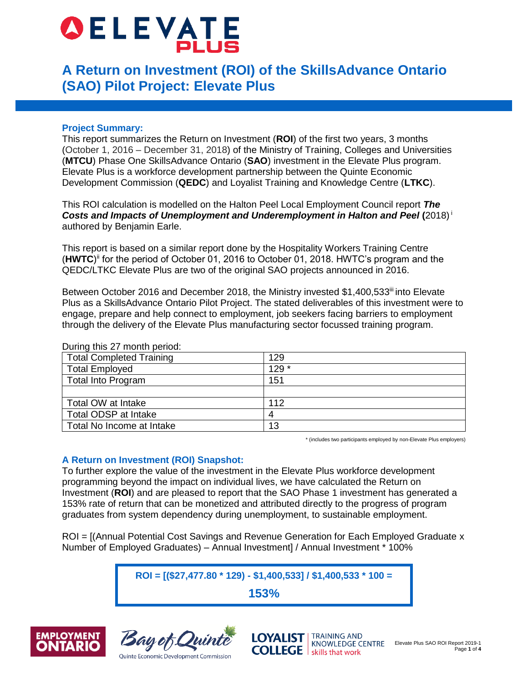# **OELEVATE**

# **A Return on Investment (ROI) of the SkillsAdvance Ontario (SAO) Pilot Project: Elevate Plus**

# **Project Summary:**

This report summarizes the Return on Investment (**ROI**) of the first two years, 3 months (October 1, 2016 – December 31, 2018) of the Ministry of Training, Colleges and Universities (**MTCU**) Phase One SkillsAdvance Ontario (**SAO**) investment in the Elevate Plus program. Elevate Plus is a workforce development partnership between the Quinte Economic Development Commission (**QEDC**) and Loyalist Training and Knowledge Centre (**LTKC**).

This ROI calculation is modelled on the Halton Peel Local Employment Council report *The Costs and Impacts of Unemployment and Underemployment in Halton and Peel* **(**2018) <sup>i</sup> authored by Benjamin Earle.

This report is based on a similar report done by the Hospitality Workers Training Centre (**HWTC**) ii for the period of October 01, 2016 to October 01, 2018. HWTC's program and the QEDC/LTKC Elevate Plus are two of the original SAO projects announced in 2016.

Between October 2016 and December 2018, the Ministry invested \$1,400,533<sup>iii</sup> into Elevate Plus as a SkillsAdvance Ontario Pilot Project. The stated deliverables of this investment were to engage, prepare and help connect to employment, job seekers facing barriers to employment through the delivery of the Elevate Plus manufacturing sector focussed training program.

| <b>Total Completed Training</b> | 129   |  |
|---------------------------------|-------|--|
| <b>Total Employed</b>           | 129 * |  |
| <b>Total Into Program</b>       | 151   |  |
|                                 |       |  |
| Total OW at Intake              | 112   |  |
| Total ODSP at Intake            | 4     |  |
| Total No Income at Intake       | 13    |  |

During this 27 month period:

\* (includes two participants employed by non-Elevate Plus employers)

## **A Return on Investment (ROI) Snapshot:**

To further explore the value of the investment in the Elevate Plus workforce development programming beyond the impact on individual lives, we have calculated the Return on Investment (**ROI**) and are pleased to report that the SAO Phase 1 investment has generated a 153% rate of return that can be monetized and attributed directly to the progress of program graduates from system dependency during unemployment, to sustainable employment.

ROI = [(Annual Potential Cost Savings and Revenue Generation for Each Employed Graduate x Number of Employed Graduates) – Annual Investment] / Annual Investment \* 100%

**ROI = [(\$27,477.80 \* 129) - \$1,400,533] / \$1,400,533 \* 100 =**

**153%**





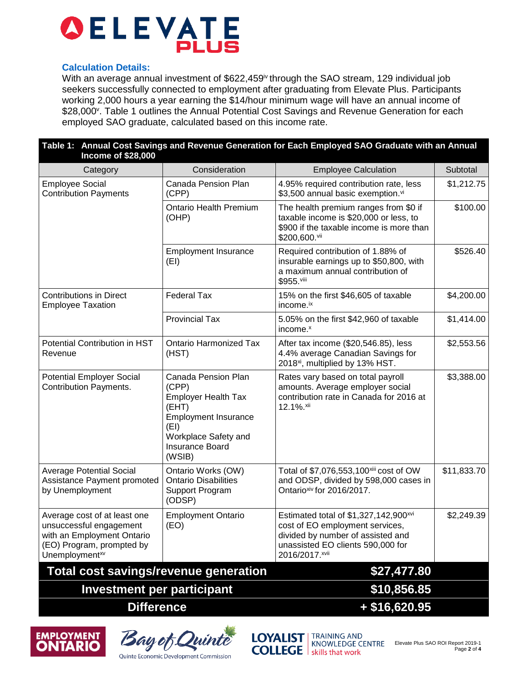

#### **Calculation Details:**

With an average annual investment of \$622,459<sup>iv</sup> through the SAO stream, 129 individual job seekers successfully connected to employment after graduating from Elevate Plus. Participants working 2,000 hours a year earning the \$14/hour minimum wage will have an annual income of \$28,000". Table 1 outlines the Annual Potential Cost Savings and Revenue Generation for each employed SAO graduate, calculated based on this income rate.

| Table 1: Annual Cost Savings and Revenue Generation for Each Employed SAO Graduate with an Annual<br><b>Income of \$28,000</b>                   |                                                                                                                                                                 |                                                                                                                                                                                  |             |  |
|--------------------------------------------------------------------------------------------------------------------------------------------------|-----------------------------------------------------------------------------------------------------------------------------------------------------------------|----------------------------------------------------------------------------------------------------------------------------------------------------------------------------------|-------------|--|
| Category                                                                                                                                         | Consideration                                                                                                                                                   | <b>Employee Calculation</b>                                                                                                                                                      | Subtotal    |  |
| <b>Employee Social</b><br><b>Contribution Payments</b>                                                                                           | Canada Pension Plan<br>(CPP)                                                                                                                                    | 4.95% required contribution rate, less<br>\$3,500 annual basic exemption.vi                                                                                                      | \$1,212.75  |  |
|                                                                                                                                                  | <b>Ontario Health Premium</b><br>(OHP)                                                                                                                          | The health premium ranges from \$0 if<br>taxable income is \$20,000 or less, to<br>\$900 if the taxable income is more than<br>\$200,600.vii                                     | \$100.00    |  |
|                                                                                                                                                  | <b>Employment Insurance</b><br>(EI)                                                                                                                             | Required contribution of 1.88% of<br>insurable earnings up to \$50,800, with<br>a maximum annual contribution of<br>\$955.viii                                                   | \$526.40    |  |
| <b>Contributions in Direct</b><br><b>Employee Taxation</b>                                                                                       | <b>Federal Tax</b>                                                                                                                                              | 15% on the first \$46,605 of taxable<br>income. <sup>ix</sup>                                                                                                                    | \$4,200.00  |  |
|                                                                                                                                                  | <b>Provincial Tax</b>                                                                                                                                           | 5.05% on the first \$42,960 of taxable<br>income. <sup>x</sup>                                                                                                                   | \$1,414.00  |  |
| Potential Contribution in HST<br>Revenue                                                                                                         | <b>Ontario Harmonized Tax</b><br>(HST)                                                                                                                          | After tax income (\$20,546.85), less<br>4.4% average Canadian Savings for<br>2018 <sup>xi</sup> , multiplied by 13% HST.                                                         | \$2,553.56  |  |
| <b>Potential Employer Social</b><br><b>Contribution Payments.</b>                                                                                | Canada Pension Plan<br>(CPP)<br><b>Employer Health Tax</b><br>(EHT)<br><b>Employment Insurance</b><br>(EI)<br>Workplace Safety and<br>Insurance Board<br>(WSIB) | Rates vary based on total payroll<br>amounts. Average employer social<br>contribution rate in Canada for 2016 at<br>12.1%.xii                                                    | \$3,388.00  |  |
| <b>Average Potential Social</b><br>Assistance Payment promoted<br>by Unemployment                                                                | Ontario Works (OW)<br><b>Ontario Disabilities</b><br>Support Program<br>(ODSP)                                                                                  | Total of \$7,076,553,100xiii cost of OW<br>and ODSP, divided by 598,000 cases in<br>Ontarioxiv for 2016/2017.                                                                    | \$11,833.70 |  |
| Average cost of at least one<br>unsuccessful engagement<br>with an Employment Ontario<br>(EO) Program, prompted by<br>Unemployment <sup>xv</sup> | <b>Employment Ontario</b><br>(EO)                                                                                                                               | Estimated total of \$1,327,142,900 <sup>xvi</sup><br>cost of EO employment services,<br>divided by number of assisted and<br>unassisted EO clients 590,000 for<br>2016/2017.xvii | \$2,249.39  |  |
| <b>Total cost savings/revenue generation</b>                                                                                                     |                                                                                                                                                                 | \$27,477.80                                                                                                                                                                      |             |  |
| <b>Investment per participant</b>                                                                                                                |                                                                                                                                                                 | \$10,856.85                                                                                                                                                                      |             |  |
| <b>Difference</b>                                                                                                                                |                                                                                                                                                                 | $+$ \$16,620.95                                                                                                                                                                  |             |  |







KNOWLEDGE CENTRE Elevate Plus SAO ROI Report 2019-1 Page **2** of **4**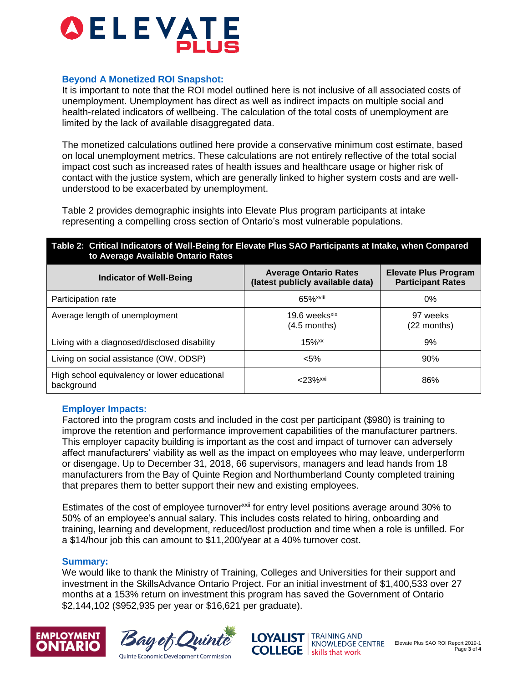

#### **Beyond A Monetized ROI Snapshot:**

It is important to note that the ROI model outlined here is not inclusive of all associated costs of unemployment. Unemployment has direct as well as indirect impacts on multiple social and health-related indicators of wellbeing. The calculation of the total costs of unemployment are limited by the lack of available disaggregated data.

The monetized calculations outlined here provide a conservative minimum cost estimate, based on local unemployment metrics. These calculations are not entirely reflective of the total social impact cost such as increased rates of health issues and healthcare usage or higher risk of contact with the justice system, which are generally linked to higher system costs and are wellunderstood to be exacerbated by unemployment.

Table 2 provides demographic insights into Elevate Plus program participants at intake representing a compelling cross section of Ontario's most vulnerable populations.

#### **Table 2: Critical Indicators of Well-Being for Elevate Plus SAO Participants at Intake, when Compared to Average Available Ontario Rates**

| <b>Indicator of Well-Being</b>                             | <b>Average Ontario Rates</b><br>(latest publicly available data) | <b>Elevate Plus Program</b><br><b>Participant Rates</b> |
|------------------------------------------------------------|------------------------------------------------------------------|---------------------------------------------------------|
| Participation rate                                         | 65% <sup>xviii</sup>                                             | 0%                                                      |
| Average length of unemployment                             | 19.6 weeks <sup>xix</sup><br>(4.5 months)                        | 97 weeks<br>(22 months)                                 |
| Living with a diagnosed/disclosed disability               | $15%$ <sup>xx</sup>                                              | 9%                                                      |
| Living on social assistance (OW, ODSP)                     | $< 5\%$                                                          | 90%                                                     |
| High school equivalency or lower educational<br>background | $<$ 23% $^{xxi}$                                                 | 86%                                                     |

#### **Employer Impacts:**

Factored into the program costs and included in the cost per participant (\$980) is training to improve the retention and performance improvement capabilities of the manufacturer partners. This employer capacity building is important as the cost and impact of turnover can adversely affect manufacturers' viability as well as the impact on employees who may leave, underperform or disengage. Up to December 31, 2018, 66 supervisors, managers and lead hands from 18 manufacturers from the Bay of Quinte Region and Northumberland County completed training that prepares them to better support their new and existing employees.

Estimates of the cost of employee turnover<sup>xxii</sup> for entry level positions average around 30% to 50% of an employee's annual salary. This includes costs related to hiring, onboarding and training, learning and development, reduced/lost production and time when a role is unfilled. For a \$14/hour job this can amount to \$11,200/year at a 40% turnover cost.

#### **Summary:**

We would like to thank the Ministry of Training, Colleges and Universities for their support and investment in the SkillsAdvance Ontario Project. For an initial investment of \$1,400,533 over 27 months at a 153% return on investment this program has saved the Government of Ontario \$2,144,102 (\$952,935 per year or \$16,621 per graduate).







Elevate Plus SAO ROI Report 2019-1 Page **3** of **4**